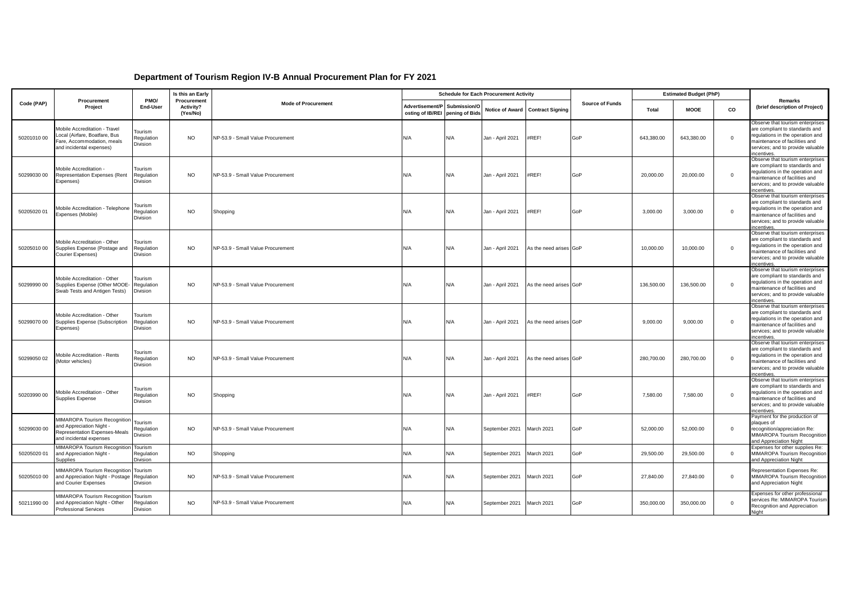## **Department of Tourism Region IV-B Annual Procurement Plan for FY 2021**

|             |                                                                                                                             |                                          | Is this an Early                     |                                   |                                                    |              | <b>Schedule for Each Procurement Activity</b> |                                  |                        |            | <b>Estimated Budget (PhP)</b> |              |                                                                                                                                                                                            |
|-------------|-----------------------------------------------------------------------------------------------------------------------------|------------------------------------------|--------------------------------------|-----------------------------------|----------------------------------------------------|--------------|-----------------------------------------------|----------------------------------|------------------------|------------|-------------------------------|--------------|--------------------------------------------------------------------------------------------------------------------------------------------------------------------------------------------|
| Code (PAP)  | Procurement<br>Project                                                                                                      | PMO/<br>End-User                         | Procurement<br>Activity?<br>(Yes/No) | <b>Mode of Procurement</b>        | Advertisement/P<br>osting of IB/REI pening of Bids | Submission/O |                                               | Notice of Award Contract Signing | <b>Source of Funds</b> | Total      | <b>MOOE</b>                   | CO           | Remarks<br>(brief description of Project)                                                                                                                                                  |
| 5020101000  | Mobile Accreditation - Travel<br>Local (Airfare, Boatfare, Bus<br>Fare, Accommodation, meals<br>and incidental expenses)    | Tourism<br>Regulation<br>Division        | <b>NO</b>                            | NP-53.9 - Small Value Procurement | N/A                                                | N/A          | Jan - April 2021                              | #REF!                            | GoP                    | 643,380.00 | 643,380.00                    | $\mathbf 0$  | Observe that tourism enterprises<br>are compliant to standards and<br>regulations in the operation and<br>maintenance of facilities and<br>services; and to provide valuable<br>ncentives. |
| 50299030 00 | Mobile Accreditation -<br>Representation Expenses (Rent<br>Expenses)                                                        | Tourism<br>Regulation<br>Division        | NO                                   | NP-53.9 - Small Value Procurement | N/A                                                | N/A          | Jan - April 2021                              | #REF!                            | GoP                    | 20,000,00  | 20,000.00                     | $\mathbf{0}$ | Observe that tourism enterprises<br>are compliant to standards and<br>regulations in the operation and<br>maintenance of facilities and<br>services; and to provide valuable<br>ncentives. |
| 50205020 01 | Mobile Accreditation - Telephone<br>Expenses (Mobile)                                                                       | Tourism<br>Regulation<br>Division        | <b>NO</b>                            | Shopping                          | N/A                                                | N/A          | Jan - April 2021                              | #REF!                            | GoP                    | 3,000.00   | 3,000.00                      | $\mathbf{0}$ | Observe that tourism enterprises<br>are compliant to standards and<br>regulations in the operation and<br>maintenance of facilities and<br>services; and to provide valuable<br>ncentives  |
| 5020501000  | Mobile Accreditation - Other<br>Supplies Expense (Postage and<br>Courier Expenses)                                          | Tourism<br>Regulation<br>Division        | <b>NO</b>                            | NP-53.9 - Small Value Procurement | N/A                                                | N/A          | Jan - April 2021                              | As the need arises GoP           |                        | 10,000.00  | 10,000.00                     | $\mathbf{0}$ | Observe that tourism enterprises<br>are compliant to standards and<br>regulations in the operation and<br>maintenance of facilities and<br>services; and to provide valuable<br>ncentives. |
| 50299990 00 | Mobile Accreditation - Other<br>Supplies Expense (Other MOOE-<br>Swab Tests and Antigen Tests)                              | Tourism<br>Regulation<br><b>Division</b> | <b>NO</b>                            | NP-53.9 - Small Value Procurement | N/A                                                | N/A          | Jan - April 2021                              | As the need arises GoP           |                        | 136,500.00 | 136,500.00                    | $\mathbf{0}$ | Observe that tourism enterprises<br>are compliant to standards and<br>regulations in the operation and<br>maintenance of facilities and<br>services; and to provide valuable<br>ncentives  |
| 5029907000  | Mobile Accreditation - Other<br>Supplies Expense (Subscription<br>Expenses)                                                 | Tourism<br>Regulation<br>Division        | <b>NO</b>                            | NP-53.9 - Small Value Procurement | N/A                                                | N/A          | Jan - April 2021                              | As the need arises GoP           |                        | 9,000.00   | 9,000.00                      | $\mathbf 0$  | Observe that tourism enterprises<br>are compliant to standards and<br>regulations in the operation and<br>maintenance of facilities and<br>services; and to provide valuable<br>ncentives  |
| 50299050 02 | Mobile Accreditation - Rents<br>(Motor vehicles)                                                                            | Tourism<br>Regulation<br>Division        | <b>NO</b>                            | NP-53.9 - Small Value Procurement | N/A                                                | N/A          | Jan - April 2021                              | As the need arises GoP           |                        | 280,700.00 | 280,700.00                    | $\mathbf{0}$ | Observe that tourism enterprises<br>are compliant to standards and<br>regulations in the operation and<br>maintenance of facilities and<br>services; and to provide valuable<br>ncentives. |
| 50203990 00 | Mobile Accreditation - Other<br><b>Supplies Expense</b>                                                                     | Tourism<br>Regulation<br>Division        | <b>NO</b>                            | Shopping                          | N/A                                                | N/A          | Jan - April 2021                              | #REF!                            | GoP                    | 7,580.00   | 7,580.00                      | $\mathsf 0$  | Observe that tourism enterprises<br>are compliant to standards and<br>regulations in the operation and<br>maintenance of facilities and<br>services; and to provide valuable<br>ncentives  |
| 50299030 00 | MIMAROPA Tourism Recognition<br>and Appreciation Night -<br><b>Representation Expenses-Meals</b><br>and incidental expenses | Tourism<br>Regulation<br>Division        | <b>NO</b>                            | NP-53.9 - Small Value Procurement | N/A                                                | N/A          | September 2021                                | March 2021                       | GoP                    | 52,000.00  | 52,000.00                     | $\mathbf{0}$ | Payment for the production of<br>plaques of<br>recognition/appreciation Re:<br>MIMAROPA Tourism Recognition<br>and Appreciation Night                                                      |
| 50205020 01 | MIMAROPA Tourism Recognition Tourism<br>and Appreciation Night -<br>Supplies                                                | Regulation<br>Division                   | <b>NO</b>                            | Shopping                          | N/A                                                | N/A          | September 2021                                | March 2021                       | GoP                    | 29,500.00  | 29,500.00                     | $\mathbf{0}$ | Expenses for other supplies Re:<br>MIMAROPA Tourism Recognition<br>and Appreciation Night                                                                                                  |
| 5020501000  | MIMAROPA Tourism Recognition Tourism<br>and Appreciation Night - Postage<br>and Courier Expenses                            | Regulation<br>Division                   | <b>NO</b>                            | NP-53.9 - Small Value Procurement | N/A                                                | N/A          | September 2021                                | March 2021                       | GoP                    | 27,840.00  | 27,840.00                     | $\mathbf{0}$ | Representation Expenses Re:<br>MIMAROPA Tourism Recognition<br>and Appreciation Night                                                                                                      |
| 5021199000  | MIMAROPA Tourism Recognition<br>and Appreciation Night - Other<br><b>Professional Services</b>                              | Tourism<br>Regulation<br>Division        | <b>NO</b>                            | NP-53.9 - Small Value Procurement | N/A                                                | N/A          | September 2021                                | March 2021                       | GoP                    | 350,000.00 | 350,000.00                    | $\mathbf 0$  | Expenses for other professional<br>services Re: MIMAROPA Tourism<br>Recognition and Appreciation<br>Night                                                                                  |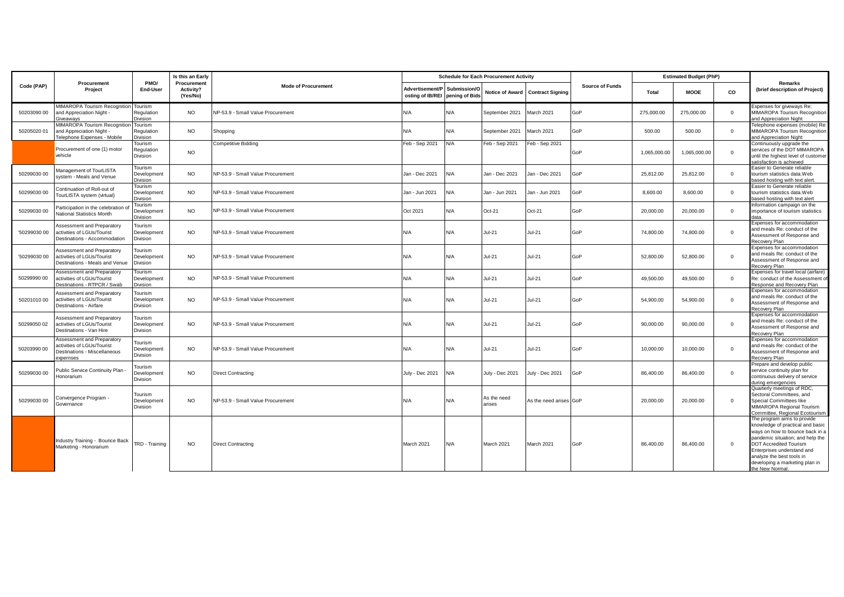|              |                                                                                                       |                                    | Is this an Early                     |                                   |                                                    |              | <b>Schedule for Each Procurement Activity</b> |                                  |                        |              | <b>Estimated Budget (PhP)</b> |              |                                                                                                                                                                                                                                                                                         |
|--------------|-------------------------------------------------------------------------------------------------------|------------------------------------|--------------------------------------|-----------------------------------|----------------------------------------------------|--------------|-----------------------------------------------|----------------------------------|------------------------|--------------|-------------------------------|--------------|-----------------------------------------------------------------------------------------------------------------------------------------------------------------------------------------------------------------------------------------------------------------------------------------|
| Code (PAP)   | Procurement<br>Project                                                                                | PMO/<br>End-User                   | Procurement<br>Activity?<br>(Yes/No) | <b>Mode of Procurement</b>        | Advertisement/P<br>osting of IB/REI pening of Bids | Submission/O |                                               | Notice of Award Contract Signing | <b>Source of Funds</b> | Total        | <b>MOOE</b>                   | CO           | Remarks<br>(brief description of Project)                                                                                                                                                                                                                                               |
| 50203090 00  | MIMAROPA Tourism Recognition Tourism<br>and Appreciation Night -<br>Giveawavs                         | Regulation<br>Division             | <b>NO</b>                            | NP-53.9 - Small Value Procurement | N/A                                                | N/A          | September 2021                                | March 2021                       | GoP                    | 275,000.00   | 275,000.00                    | $\mathbf{0}$ | Expenses for giveways Re:<br>MIMAROPA Tourism Recognition<br>and Appreciation Night                                                                                                                                                                                                     |
| 50205020 01  | MIMAROPA Tourism Recognition<br>and Appreciation Night<br>Telephone Expenses - Mobile                 | Tourism<br>Regulation<br>Division  | <b>NO</b>                            | Shopping                          | N/A                                                | N/A          | September 2021                                | March 2021                       | GoP                    | 500.00       | 500.00                        | $\mathbf{0}$ | Telephone expenses (mobile) Re:<br>MIMAROPA Tourism Recognition<br>and Appreciation Night                                                                                                                                                                                               |
|              | Procurement of one (1) motor<br>vehicle                                                               | Tourism<br>Regulation<br>Division  | <b>NO</b>                            | <b>Competitive Bidding</b>        | Feb - Sep 2021                                     | N/A          | Feb - Sep 2021                                | Feb - Sep 2021                   | GoP                    | 1,065,000.00 | 1,065,000.00                  | $\mathbf{0}$ | Continuously upgrade the<br>services of the DOT MIMAROPA<br>until the highest level of customer<br>satisfaction is achieved                                                                                                                                                             |
| 50299030 00  | Management of TourLISTA<br>system - Meals and Venue                                                   | Tourism<br>Development<br>Division | <b>NO</b>                            | NP-53.9 - Small Value Procurement | Jan - Dec 2021                                     | N/A          | Jan - Dec 2021                                | an - Dec 2021                    | GoP                    | 25,812.00    | 25,812.00                     | $\mathbf{0}$ | Easier to Generate reliable<br>tourism statistics data.Web<br>based hosting with text alert                                                                                                                                                                                             |
| 50299030 00  | Continuation of Roll-out of<br>TourLISTA system (virtual)                                             | Tourism<br>Development<br>Division | <b>NO</b>                            | NP-53.9 - Small Value Procurement | Jan - Jun 2021                                     | N/A          | Jan - Jun 2021                                | Jan - Jun 2021                   | GoP                    | 8,600.00     | 8,600.00                      | $\mathbf{0}$ | Easier to Generate reliable<br>tourism statistics data. Web<br>based hosting with text alert                                                                                                                                                                                            |
| 50299030 00  | Participation in the celebration<br>National Statistics Month                                         | Tourism<br>Development<br>Division | <b>NO</b>                            | NP-53.9 - Small Value Procurement | Oct 2021                                           | N/A          | Oct-21                                        | Oct-21                           | GoP                    | 20.000.00    | 20,000,00                     | $\mathbf{0}$ | nformation campaign on the<br>importance of tourism statistics<br>data.                                                                                                                                                                                                                 |
| '50299030 00 | Assessment and Preparatory<br>activities of LGUs/Tourist<br>Destinations - Accommodation              | Tourism<br>Development<br>Division | <b>NO</b>                            | NP-53.9 - Small Value Procurement | N/A                                                | N/A          | $Jul-21$                                      | $Jul-21$                         | GoP                    | 74,800.00    | 74,800.00                     | $\mathbf{0}$ | Expenses for accommodation<br>and meals Re: conduct of the<br>Assessment of Response and<br>Recovery Plan                                                                                                                                                                               |
| '50299030 00 | Assessment and Preparatory<br>activities of LGUs/Tourist<br>Destinations - Meals and Venue            | Tourism<br>Development<br>Division | <b>NO</b>                            | NP-53.9 - Small Value Procurement | N/A                                                | N/A          | $Jul-21$                                      | $Jul-21$                         | GoP                    | 52,800.00    | 52,800.00                     | $\mathbf{0}$ | Expenses for accommodation<br>and meals Re: conduct of the<br>Assessment of Response and<br>Recovery Plan                                                                                                                                                                               |
| 5029999000   | Assessment and Preparatory<br>activities of LGUs/Tourist<br>Destinations - RTPCR / Swab               | Tourism<br>Development<br>Division | <b>NO</b>                            | NP-53.9 - Small Value Procurement | N/A                                                | N/A          | $Jul-21$                                      | $Jul-21$                         | GoP                    | 49,500.00    | 49,500.00                     | $\mathbf{0}$ | Expenses for travel local (airfare)<br>Re: conduct of the Assessment of<br>Response and Recovery Plan                                                                                                                                                                                   |
| 5020101000   | Assessment and Preparatory<br>activities of LGUs/Tourist<br>Destinations - Airfare                    | Tourism<br>Development<br>Division | <b>NO</b>                            | NP-53.9 - Small Value Procurement | N/A                                                | N/A          | $Jul-21$                                      | $Jul-21$                         | GoP                    | 54.900.00    | 54.900.00                     | $\mathbf{0}$ | Expenses for accommodation<br>and meals Re: conduct of the<br>Assessment of Response and<br>Recovery Plan                                                                                                                                                                               |
| 50299050 02  | Assessment and Preparatory<br>activities of LGUs/Tourist<br>Destinations - Van Hire                   | Tourism<br>Development<br>Division | <b>NO</b>                            | NP-53.9 - Small Value Procurement | N/A                                                | N/A          | $Jul-21$                                      | <b>Jul-21</b>                    | GoP                    | 90.000.00    | 90.000.00                     | $\mathbf{0}$ | Expenses for accommodation<br>and meals Re: conduct of the<br>Assessment of Response and<br>Recovery Plan                                                                                                                                                                               |
| 50203990 00  | Assessment and Preparatory<br>activities of LGUs/Tourist<br>Destinations - Miscellaneous<br>expernses | Tourism<br>Development<br>Division | <b>NO</b>                            | NP-53.9 - Small Value Procurement | N/A                                                | N/A          | $Jul-21$                                      | <b>Jul-21</b>                    | GoP                    | 10,000.00    | 10,000.00                     | $\mathbf{0}$ | Expenses for accommodation<br>and meals Re: conduct of the<br>Assessment of Response and<br>Recovery Plan                                                                                                                                                                               |
| 50299030 00  | Public Service Continuity Plan<br>Honorarium                                                          | Tourism<br>Development<br>Division | <b>NO</b>                            | <b>Direct Contracting</b>         | July - Dec 2021                                    | N/A          | July - Dec 2021                               | luly - Dec 2021                  | GoP                    | 86.400.00    | 86.400.00                     | $\mathbf{0}$ | Prepare and develop public<br>service continuity plan for<br>continuous delivery of service<br>during emergencies                                                                                                                                                                       |
| 50299030 00  | Convergence Program -<br>Governance                                                                   | Tourism<br>Development<br>Division | <b>NO</b>                            | NP-53.9 - Small Value Procurement | N/A                                                | N/A          | As the need<br>arises                         | As the need arises GoP           |                        | 20,000.00    | 20,000.00                     | $\mathbf{0}$ | Quarterly meetings of RDC,<br>Sectoral Committees, and<br>Special Committees like<br>MIMAROPA Regional Tourism<br>Committee, Regional Ecotourism                                                                                                                                        |
|              | Industry Training - Bounce Back<br>Marketing - Honorarium                                             | TRD - Training                     | <b>NO</b>                            | <b>Direct Contracting</b>         | March 2021                                         | N/A          | March 2021                                    | March 2021                       | GoP                    | 86,400.00    | 86,400.00                     | $\mathbf{0}$ | The program aims to provide<br>knowledge of practical and basic<br>ways on how to bounce back in a<br>pandemic situation; and help the<br><b>DOT Accredited Tourism</b><br>Enterprises understand and<br>analyze the best tools in<br>developing a marketing plan in<br>the New Normal. |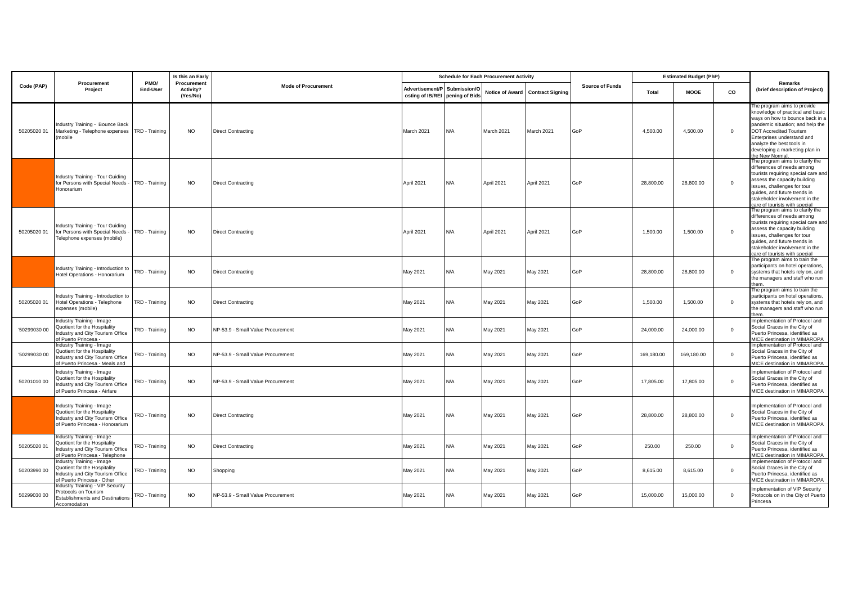|              |                                                                                                                                  |                  | Is this an Early                     |                                   |                                                                 |     | <b>Schedule for Each Procurement Activity</b> |                                  |                        |            | <b>Estimated Budget (PhP)</b> | co<br>$\mathbf{0}$ |                                                                                                                                                                                                                                                                                       |
|--------------|----------------------------------------------------------------------------------------------------------------------------------|------------------|--------------------------------------|-----------------------------------|-----------------------------------------------------------------|-----|-----------------------------------------------|----------------------------------|------------------------|------------|-------------------------------|--------------------|---------------------------------------------------------------------------------------------------------------------------------------------------------------------------------------------------------------------------------------------------------------------------------------|
| Code (PAP)   | Procurement<br>Project                                                                                                           | PMO/<br>End-User | Procurement<br>Activity?<br>(Yes/No) | <b>Mode of Procurement</b>        | Advertisement/P Submission/O<br>osting of IB/REI pening of Bids |     |                                               | Notice of Award Contract Signing | <b>Source of Funds</b> | Total      | <b>MOOE</b>                   |                    | Remarks<br>(brief description of Project)                                                                                                                                                                                                                                             |
| 50205020 01  | Industry Training - Bounce Back<br>Marketing - Telephone expenses TRD - Training<br>(mobile                                      |                  | <b>NO</b>                            | <b>Direct Contracting</b>         | March 2021                                                      | N/A | March 2021                                    | March 2021                       | GoP                    | 4,500.00   | 4,500.00                      |                    | he program aims to provide<br>knowledge of practical and basic<br>ways on how to bounce back in a<br>pandemic situation; and help the<br><b>DOT Accredited Tourism</b><br>Enterprises understand and<br>analyze the best tools in<br>developing a marketing plan in<br>the New Normal |
|              | Industry Training - Tour Guiding<br>for Persons with Special Needs - TRD - Training<br>Honorarium                                |                  | <b>NO</b>                            | <b>Direct Contracting</b>         | April 2021                                                      | N/A | April 2021                                    | April 2021                       | GoP                    | 28,800.00  | 28,800.00                     | $\mathbf 0$        | The program aims to clarify the<br>differences of needs among<br>tourists requiring special care and<br>assess the capacity building<br>issues, challenges for tour<br>guides, and future trends in<br>stakeholder involvement in the<br>care of tourists with special                |
| 50205020 01  | Industry Training - Tour Guiding<br>for Persons with Special Needs<br>Telephone expenses (mobile)                                | TRD - Training   | <b>NO</b>                            | <b>Direct Contracting</b>         | April 2021                                                      | N/A | April 2021                                    | April 2021                       | GoP                    | 1,500.00   | 1,500.00                      | $\mathbf 0$        | The program aims to clarify the<br>differences of needs among<br>tourists requiring special care and<br>assess the capacity building<br>issues, challenges for tour<br>guides, and future trends in<br>stakeholder involvement in the<br>care of tourists with special                |
|              | Industry Training - Introduction to<br>Hotel Operations - Honorarium                                                             | TRD - Training   | <b>NO</b>                            | <b>Direct Contracting</b>         | May 2021                                                        | N/A | May 2021                                      | May 2021                         | GoP                    | 28,800.00  | 28,800.00                     | $\mathbf 0$        | The program aims to train the<br>participants on hotel operations,<br>systems that hotels rely on, and<br>the managers and staff who run<br>them.                                                                                                                                     |
| 50205020 01  | Industry Training - Introduction to<br>Hotel Operations - Telephone<br>expenses (mobile)                                         | TRD - Training   | <b>NO</b>                            | <b>Direct Contracting</b>         | May 2021                                                        | N/A | May 2021                                      | May 2021                         | GoP                    | 1,500.00   | 1,500.00                      | $\mathbf 0$        | The program aims to train the<br>participants on hotel operations,<br>systems that hotels rely on, and<br>the managers and staff who run<br>them                                                                                                                                      |
| '50299030 00 | Industry Training - Image<br>Quotient for the Hospitality<br>Industry and City Tourism Office<br>of Puerto Princesa -            | TRD - Training   | <b>NO</b>                            | NP-53.9 - Small Value Procurement | May 2021                                                        | N/A | May 2021                                      | May 2021                         | GoP                    | 24,000.00  | 24,000.00                     | $\Omega$           | Implementation of Protocol and<br>Social Graces in the City of<br>Puerto Princesa, identified as<br>MICE destination in MIMAROPA                                                                                                                                                      |
| '50299030 00 | Industry Training - Image<br>Quotient for the Hospitality<br>Industry and City Tourism Office<br>of Puerto Princesa - Meals and  | TRD - Training   | <b>NO</b>                            | NP-53.9 - Small Value Procurement | May 2021                                                        | N/A | May 2021                                      | May 2021                         | GoP                    | 169,180.00 | 169,180.00                    | $\mathbf{0}$       | Implementation of Protocol and<br>Social Graces in the City of<br>Puerto Princesa, identified as<br>MICE destination in MIMAROPA                                                                                                                                                      |
| 5020101000   | Industry Training - Image<br>Quotient for the Hospitality<br>Industry and City Tourism Office<br>of Puerto Princesa - Airfare    | TRD - Training   | <b>NO</b>                            | NP-53.9 - Small Value Procurement | May 2021                                                        | N/A | May 2021                                      | May 2021                         | GoP                    | 17,805.00  | 17,805.00                     | $\mathbf 0$        | Implementation of Protocol and<br>Social Graces in the City of<br>Puerto Princesa, identified as<br>MICE destination in MIMAROPA                                                                                                                                                      |
|              | Industry Training - Image<br>Quotient for the Hospitality<br>Industry and City Tourism Office<br>of Puerto Princesa - Honorarium | TRD - Training   | <b>NO</b>                            | <b>Direct Contracting</b>         | May 2021                                                        | N/A | May 2021                                      | May 2021                         | GoP                    | 28,800.00  | 28,800.00                     | $\mathbf 0$        | Implementation of Protocol and<br>Social Graces in the City of<br>Puerto Princesa, identified as<br>MICE destination in MIMAROPA                                                                                                                                                      |
| 50205020 01  | Industry Training - Image<br>Quotient for the Hospitality<br>Industry and City Tourism Office<br>of Puerto Princesa - Telephone  | TRD - Training   | <b>NO</b>                            | <b>Direct Contracting</b>         | May 2021                                                        | N/A | May 2021                                      | May 2021                         | GoP                    | 250.00     | 250.00                        | $\mathbf{0}$       | Implementation of Protocol and<br>Social Graces in the City of<br>Puerto Princesa, identified as<br>MICE destination in MIMAROPA                                                                                                                                                      |
| 50203990 00  | Industry Training - Image<br>Quotient for the Hospitality<br>Industry and City Tourism Office<br>of Puerto Princesa - Other      | TRD - Training   | <b>NO</b>                            | Shopping                          | May 2021                                                        | N/A | May 2021                                      | May 2021                         | GoP                    | 8,615.00   | 8,615.00                      | $\mathbf{0}$       | Implementation of Protocol and<br>Social Graces in the City of<br>Puerto Princesa, identified as<br>MICE destination in MIMAROPA                                                                                                                                                      |
| 50299030 00  | Industry Training - VIP Security<br>Protocols on Tourism<br><b>Establishments and Destinations</b><br>Accomodation               | TRD - Training   | <b>NO</b>                            | NP-53.9 - Small Value Procurement | May 2021                                                        | N/A | May 2021                                      | May 2021                         | GoP                    | 15,000.00  | 15,000.00                     | $^{\circ}$         | Implementation of VIP Security<br>Protocols on in the City of Puerto<br>Princesa                                                                                                                                                                                                      |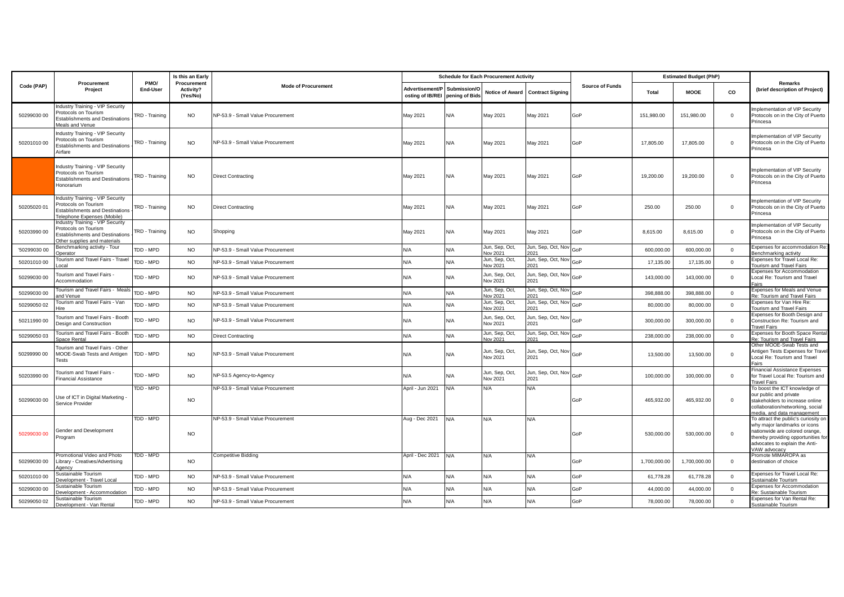|              |                                                                                                                                    |                  | Is this an Early                     |                                   |                                                                 |     | <b>Schedule for Each Procurement Activity</b> |                                |                        | <b>Estimated Budget (PhP)</b> |              |              |                                                                                                                                                                                                 |
|--------------|------------------------------------------------------------------------------------------------------------------------------------|------------------|--------------------------------------|-----------------------------------|-----------------------------------------------------------------|-----|-----------------------------------------------|--------------------------------|------------------------|-------------------------------|--------------|--------------|-------------------------------------------------------------------------------------------------------------------------------------------------------------------------------------------------|
| Code (PAP)   | Procurement<br>Project                                                                                                             | PMO/<br>End-User | Procurement<br>Activity?<br>(Yes/No) | <b>Mode of Procurement</b>        | Advertisement/P Submission/O<br>osting of IB/REI pening of Bids |     | Notice of Award                               | <b>Contract Signing</b>        | <b>Source of Funds</b> | <b>Total</b>                  | <b>MOOE</b>  | co           | Remarks<br>(brief description of Project)                                                                                                                                                       |
| 50299030 00  | Industry Training - VIP Security<br>Protocols on Tourism<br><b>Establishments and Destinations</b><br>Meals and Venue              | TRD - Training   | <b>NO</b>                            | NP-53.9 - Small Value Procurement | May 2021                                                        | N/A | May 2021                                      | May 2021                       | GoP                    | 151,980.00                    | 151,980.00   | $\mathbf{0}$ | Implementation of VIP Security<br>Protocols on in the City of Puerto<br>Princesa                                                                                                                |
| 50201010 00  | <b>Industry Training - VIP Security</b><br>rotocols on Tourism<br><b>Establishments and Destinations</b><br>Airfare                | TRD - Training   | <b>NO</b>                            | NP-53.9 - Small Value Procurement | May 2021                                                        | N/A | May 2021                                      | May 2021                       | GoP                    | 17,805.00                     | 17,805.00    | $\mathbf 0$  | Implementation of VIP Security<br>Protocols on in the City of Puerto<br>Princesa                                                                                                                |
|              | Industry Training - VIP Security<br>Protocols on Tourism<br><b>Establishments and Destinations</b><br>Honorarium                   | TRD - Training   | <b>NO</b>                            | <b>Direct Contracting</b>         | May 2021                                                        | N/A | May 2021                                      | May 2021                       | GoP                    | 19,200.00                     | 19,200.00    | $\mathbf 0$  | Implementation of VIP Security<br>Protocols on in the City of Puerto<br>Princesa                                                                                                                |
| 50205020 01  | Industry Training - VIP Security<br>rotocols on Tourism<br><b>Establishments and Destinations</b><br>Telephone Expenses (Mobile)   | TRD - Training   | <b>NO</b>                            | <b>Direct Contracting</b>         | May 2021                                                        | N/A | May 2021                                      | May 2021                       | GoP                    | 250.00                        | 250.00       | $\Omega$     | Implementation of VIP Security<br>Protocols on in the City of Puerto<br>Princesa                                                                                                                |
| 50203990 00  | Industry Training - VIP Security<br>Protocols on Tourism<br><b>Establishments and Destinations</b><br>Other supplies and materials | TRD - Training   | <b>NO</b>                            | Shopping                          | May 2021                                                        | N/A | May 2021                                      | May 2021                       | GoP                    | 8,615.00                      | 8,615.00     | $\mathbf 0$  | Implementation of VIP Security<br>Protocols on in the City of Puerto<br>Princesa                                                                                                                |
| '50299030 00 | Benchmarking activity - Tour<br><b>Onerator</b>                                                                                    | TDD - MPD        | <b>NO</b>                            | NP-53.9 - Small Value Procurement | N/A                                                             | N/A | Jun, Sep, Oct,<br>Nov 2021                    | Jun, Sep, Oct, Nov<br>2021     | GoP                    | 600,000.00                    | 600,000.00   | $\mathbf 0$  | Expenses for accommodation Re:<br>Benchmarking activity                                                                                                                                         |
| 50201010 00  | <b>Tourism and Travel Fairs - Travel</b>                                                                                           | TDD - MPD        | <b>NO</b>                            | NP-53.9 - Small Value Procurement | N/A                                                             | N/A | Jun, Sep, Oct,<br>Nov 2021                    | Jun, Sep, Oct, Nov<br>2021     | GoP                    | 17,135.00                     | 17,135.00    | $\mathbf{0}$ | Expenses for Travel Local Re:<br>Tourism and Travel Fairs                                                                                                                                       |
| 50299030 00  | Tourism and Travel Fairs -<br>Accommodation                                                                                        | TDD - MPD        | <b>NO</b>                            | NP-53.9 - Small Value Procurement | N/A                                                             | N/A | Jun, Sep, Oct,<br>Nov 2021                    | Jun, Sep, Oct, Nov<br>2021     | GoP                    | 143,000.00                    | 143,000.00   | $\mathbf{0}$ | Expenses for Accommodation<br>Local Re: Tourism and Travel<br>Fairs                                                                                                                             |
| 50299030 00  | Tourism and Travel Fairs - Meal<br>and Venue                                                                                       | TDD - MPD        | <b>NO</b>                            | NP-53.9 - Small Value Procurement | N/A                                                             | N/A | Jun, Sep, Oct,<br>Nov 2021                    | Jun, Sep, Oct, Nov<br>2021     | GoP                    | 398,888.00                    | 398,888.00   | $\Omega$     | Expenses for Meals and Venue<br>Re: Tourism and Travel Fairs                                                                                                                                    |
| 50299050 02  | <b>Tourism and Travel Fairs - Van</b><br>Hire                                                                                      | TDD - MPD        | <b>NO</b>                            | NP-53.9 - Small Value Procurement | N/A                                                             | N/A | Jun, Sep, Oct,<br>Nov 2021                    | Jun, Sep, Oct, Nov<br>2021     | GoP                    | 80,000.00                     | 80,000.00    | $\mathbf{0}$ | Expenses for Van Hire Re:<br>Tourism and Travel Fairs                                                                                                                                           |
| 50211990 00  | Tourism and Travel Fairs - Booth<br>Design and Construction                                                                        | TDD - MPD        | <b>NO</b>                            | NP-53.9 - Small Value Procurement | N/A                                                             | N/A | Jun, Sep, Oct,<br>Nov 2021                    | Jun, Sep, Oct, Nov<br>2021     | GoP                    | 300,000.00                    | 300,000.00   | $\mathbf 0$  | Expenses for Booth Design and<br>Construction Re: Tourism and<br><b>Travel Fairs</b>                                                                                                            |
| 50299050 03  | <b>Tourism and Travel Fairs - Booth</b><br>Space Rental                                                                            | TDD - MPD        | <b>NO</b>                            | <b>Direct Contracting</b>         | N/A                                                             | N/A | Jun, Sep, Oct,<br><b>Nov 2021</b>             | Jun, Sep, Oct, Nov<br>2021     | GoP                    | 238,000.00                    | 238,000.00   | $\mathbf{0}$ | Expenses for Booth Space Renta<br>Re: Tourism and Travel Fairs                                                                                                                                  |
| 50299990 00  | Tourism and Travel Fairs - Other<br>MOOE-Swab Tests and Antigen<br><b>Tests</b>                                                    | TDD - MPD        | <b>NO</b>                            | NP-53.9 - Small Value Procurement | N/A                                                             | N/A | Jun, Sep, Oct,<br>Nov 2021                    | Jun, Sep, Oct, Nov<br>2021     | GoP                    | 13,500.00                     | 13,500.00    | $\mathbf{0}$ | Other MOOE-Swab Tests and<br>Antigen Tests Expenses for Travel<br>Local Re: Tourism and Travel<br>Fairs                                                                                         |
| 50203990 00  | Tourism and Travel Fairs -<br><b>Financial Assistance</b>                                                                          | TDD - MPD        | <b>NO</b>                            | NP-53.5 Agency-to-Agency          | N/A                                                             | N/A | Jun, Sep, Oct,<br>Nov 2021                    | Jun, Sep, Oct, Nov GoP<br>2021 |                        | 100,000.00                    | 100,000.00   | $\mathbf{0}$ | <b>Financial Assistance Expenses</b><br>for Travel Local Re: Tourism and<br><b>Travel Fairs</b>                                                                                                 |
| 50299030 00  | Use of ICT in Digital Marketing -<br>Service Provider                                                                              | TDD - MPD        | <b>NO</b>                            | NP-53.9 - Small Value Procurement | April - Jun 2021                                                | N/A | N/A                                           | N/A                            | GoP                    | 465,932.00                    | 465,932.00   | $\mathbf 0$  | To boost the ICT knowledge of<br>our public and private<br>stakeholders to increase online<br>collaboration/networking, social<br>media, and data management                                    |
| 50299030 00  | Gender and Development<br>Program                                                                                                  | TDD - MPD        | <b>NO</b>                            | NP-53.9 - Small Value Procurement | Aug - Dec 2021                                                  | N/A | N/A                                           | N/A                            | GoP                    | 530,000.00                    | 530,000.00   | $\mathbf 0$  | To attract the public's curiosity on<br>why major landmarks or icons<br>nationwide are colored orange,<br>thereby providing opportunities for<br>advocates to explain the Anti-<br>VAW advocacy |
| 50299030 00  | Promotional Video and Photo<br>Library - Creatives/Advertising<br>Agency                                                           | TDD - MPD        | <b>NO</b>                            | <b>Competitive Bidding</b>        | April - Dec 2021                                                | N/A | N/A                                           | N/A                            | GoP                    | 1,700,000.00                  | 1,700,000.00 | $\mathbf 0$  | Promote MIMAROPA as<br>destination of choice                                                                                                                                                    |
| 5020101000   | Sustainable Tourism<br>Development - Travel Local                                                                                  | TDD - MPD        | <b>NO</b>                            | NP-53.9 - Small Value Procurement | N/A                                                             | N/A | N/A                                           | N/A                            | GoP                    | 61,778.28                     | 61,778.28    | $\mathbf{0}$ | Expenses for Travel Local Re:<br>Sustainable Tourism                                                                                                                                            |
| 50299030 00  | Sustainable Tourism<br>Development - Accommodation                                                                                 | TDD - MPD        | <b>NO</b>                            | NP-53.9 - Small Value Procurement | N/A                                                             | N/A | N/A                                           | N/A                            | GoP                    | 44,000.00                     | 44,000.00    | $\mathbf 0$  | Expenses for Accommodation<br>Re: Sustainable Tourism                                                                                                                                           |
| 50299050 02  | Sustainable Tourism<br>Development - Van Rental                                                                                    | TDD - MPD        | <b>NO</b>                            | NP-53.9 - Small Value Procurement | N/A                                                             | N/A | N/A                                           | N/A                            | GoP                    | 78,000.00                     | 78,000.00    | $\mathbf 0$  | Expenses for Van Rental Re:<br>Sustainable Tourism                                                                                                                                              |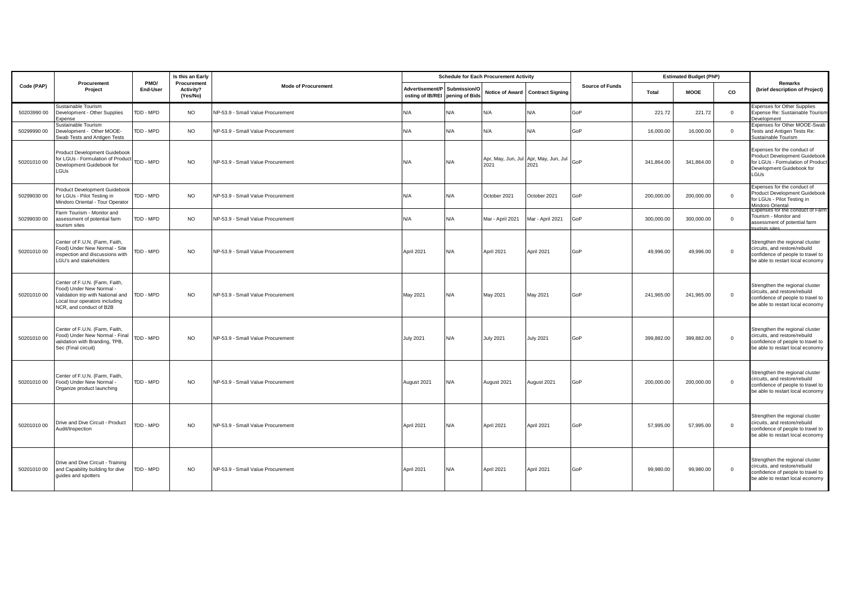|             |                                                                                                                                                              |                  | Is this an Early                     |                                   |                                                  |                | <b>Schedule for Each Procurement Activity</b>      |                                  |                        |            | <b>Estimated Budget (PhP)</b> |              |                                                                                                                                                     |
|-------------|--------------------------------------------------------------------------------------------------------------------------------------------------------------|------------------|--------------------------------------|-----------------------------------|--------------------------------------------------|----------------|----------------------------------------------------|----------------------------------|------------------------|------------|-------------------------------|--------------|-----------------------------------------------------------------------------------------------------------------------------------------------------|
| Code (PAP)  | Procurement<br>Project                                                                                                                                       | PMO/<br>End-User | Procurement<br>Activity?<br>(Yes/No) | <b>Mode of Procurement</b>        | Advertisement/P Submission/O<br>osting of IB/REI | pening of Bids |                                                    | Notice of Award Contract Signing | <b>Source of Funds</b> | Total      | <b>MOOE</b>                   | CO           | Remarks<br>(brief description of Project)                                                                                                           |
| 50203990 00 | Sustainable Tourism<br>Development - Other Supplies<br>Expense                                                                                               | TDD - MPD        | <b>NO</b>                            | NP-53.9 - Small Value Procurement | N/A                                              | N/A            | N/A                                                | N/A                              | GoP                    | 221.72     | 221.72                        | $\mathbf{0}$ | <b>Expenses for Other Supplies</b><br>Expense Re: Sustainable Tourism<br>Development                                                                |
| 50299990 00 | Sustainable Tourism<br>Development - Other MOOE-<br>Swab Tests and Antigen Tests                                                                             | TDD - MPD        | <b>NO</b>                            | NP-53.9 - Small Value Procurement | N/A                                              | N/A            | N/A                                                | N/A                              | GoP                    | 16,000.00  | 16,000.00                     | $\mathbf{0}$ | Expenses for Other MOOE-Swab<br>Tests and Antigen Tests Re:<br>Sustainable Tourism                                                                  |
| 5020101000  | Product Development Guidebook<br>for LGUs - Formulation of Product<br>TDD - MPD<br>Development Guidebook for<br>LGUs                                         |                  | <b>NO</b>                            | NP-53.9 - Small Value Procurement | N/A                                              | N/A            | Apr, May, Jun, Jul Apr, May, Jun, Jul<br>2021 2021 |                                  | GoP                    | 341,864.00 | 341.864.00                    | $\Omega$     | Expenses for the conduct of<br>Product Development Guidebook<br>for LGUs - Formulation of Product<br>Development Guidebook for<br>LGUs              |
| 50299030 00 | Product Development Guidebook<br>for LGUs - Pilot Testing in<br>Mindoro Oriental - Tour Operator                                                             | TDD - MPD        | <b>NO</b>                            | NP-53.9 - Small Value Procurement | N/A                                              | N/A            | October 2021                                       | October 2021                     | GoP                    | 200,000.00 | 200,000.00                    | $\mathbf{0}$ | Expenses for the conduct of<br>Product Development Guidebook<br>for LGUs - Pilot Testing in<br>Mindoro Oriental<br>Expenses for the conduct of Farm |
| 50299030 00 | Farm Tourism - Monitor and<br>assessment of potential farm<br>tourism sites                                                                                  | TDD - MPD        | <b>NO</b>                            | NP-53.9 - Small Value Procurement | N/A                                              | N/A            | Mar - April 2021                                   | Mar - April 2021                 | GoP                    | 300,000.00 | 300,000.00                    | $\mathbf 0$  | Tourism - Monitor and<br>assessment of potential farm<br>iriom eitog                                                                                |
| 50201010 00 | Center of F.U.N. (Farm, Faith,<br>Food) Under New Normal - Site<br>nspection and discussions with<br>LGU's and stakeholders                                  | TDD - MPD        | <b>NO</b>                            | NP-53.9 - Small Value Procurement | April 2021                                       | N/A            | April 2021                                         | April 2021                       | GoP                    | 49,996.00  | 49,996.00                     | $\mathbf 0$  | Strengthen the regional cluster<br>circuits, and restore/rebuild<br>confidence of people to travel to<br>be able to restart local economy           |
| 50201010 00 | Center of F.U.N. (Farm, Faith,<br>Food) Under New Normal -<br>Validation trip with National and<br>Local tour operators including<br>NCR, and conduct of B2B | TDD - MPD        | <b>NO</b>                            | NP-53.9 - Small Value Procurement | May 2021                                         | N/A            | May 2021                                           | May 2021                         | GoP                    | 241,965.00 | 241,965.00                    | $\mathbf 0$  | Strengthen the regional cluster<br>circuits, and restore/rebuild<br>confidence of people to travel to<br>be able to restart local economy           |
| 5020101000  | Center of F.U.N. (Farm, Faith,<br>Food) Under New Normal - Final<br>validation with Branding, TPB,<br>Sec (Final circuit)                                    | TDD - MPD        | <b>NO</b>                            | NP-53.9 - Small Value Procurement | <b>July 2021</b>                                 | N/A            | <b>July 2021</b>                                   | <b>July 2021</b>                 | GoP                    | 399,882.00 | 399,882.00                    | $\mathbf 0$  | Strengthen the regional cluster<br>circuits, and restore/rebuild<br>confidence of people to travel to<br>be able to restart local economy           |
| 50201010 00 | Center of F.U.N. (Farm, Faith,<br>Food) Under New Normal -<br>Organize product launching                                                                     | TDD - MPD        | <b>NO</b>                            | NP-53.9 - Small Value Procurement | August 2021                                      | N/A            | August 2021                                        | August 2021                      | GoP                    | 200.000.00 | 200,000,00                    | $\mathbf 0$  | Strengthen the regional cluster<br>circuits, and restore/rebuild<br>confidence of people to travel to<br>be able to restart local economy           |
| 5020101000  | Drive and Dive Circuit - Product<br>Audit/Inspection                                                                                                         | TDD - MPD        | <b>NO</b>                            | NP-53.9 - Small Value Procurement | April 2021                                       | N/A            | April 2021                                         | April 2021                       | GoP                    | 57,995.00  | 57,995.00                     | $\mathbf 0$  | Strengthen the regional cluster<br>circuits, and restore/rebuild<br>confidence of people to travel to<br>be able to restart local economy           |
| 5020101000  | Drive and Dive Circuit - Training<br>and Capability building for dive<br>quides and spotters                                                                 | TDD - MPD        | <b>NO</b>                            | NP-53.9 - Small Value Procurement | April 2021                                       | N/A            | April 2021                                         | April 2021                       | GoP                    | 99.980.00  | 99.980.00                     | $\Omega$     | Strengthen the regional cluster<br>circuits, and restore/rebuild<br>confidence of people to travel to<br>be able to restart local economy           |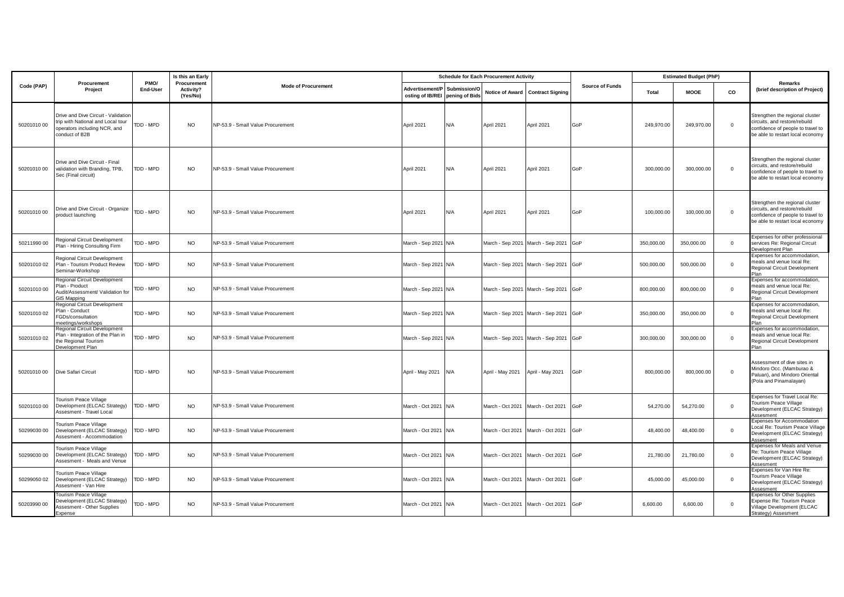|             |                                                                                                                            |                  | Is this an Early                     |                                   |                                                                 |     | <b>Schedule for Each Procurement Activity</b> |                                       |                        | <b>Estimated Budget (PhP)</b> |            |              |                                                                                                                                           |
|-------------|----------------------------------------------------------------------------------------------------------------------------|------------------|--------------------------------------|-----------------------------------|-----------------------------------------------------------------|-----|-----------------------------------------------|---------------------------------------|------------------------|-------------------------------|------------|--------------|-------------------------------------------------------------------------------------------------------------------------------------------|
| Code (PAP)  | Procurement<br>Project                                                                                                     | PMO/<br>End-User | Procurement<br>Activity?<br>(Yes/No) | <b>Mode of Procurement</b>        | Advertisement/P Submission/O<br>osting of IB/REI pening of Bids |     |                                               | Notice of Award Contract Signing      | <b>Source of Funds</b> | Total                         | MOOE       | co           | <b>Remarks</b><br>(brief description of Project)                                                                                          |
| 5020101000  | Drive and Dive Circuit - Validation<br>trip with National and Local tour<br>operators including NCR, and<br>conduct of B2B | TDD - MPD        | <b>NO</b>                            | NP-53.9 - Small Value Procurement | April 2021                                                      | N/A | April 2021                                    | April 2021                            | GoP                    | 249,970.00                    | 249,970.00 | $\mathbf 0$  | Strengthen the regional cluster<br>circuits, and restore/rebuild<br>confidence of people to travel to<br>be able to restart local economy |
| 5020101000  | Drive and Dive Circuit - Final<br>validation with Branding, TPB.<br>Sec (Final circuit)                                    | TDD - MPD        | <b>NO</b>                            | NP-53.9 - Small Value Procurement | April 2021                                                      | N/A | April 2021                                    | April 2021                            | GoP                    | 300,000.00                    | 300,000.00 | $\mathbf 0$  | Strengthen the regional cluster<br>circuits, and restore/rebuild<br>confidence of people to travel to<br>be able to restart local economy |
| 5020101000  | Drive and Dive Circuit - Organize<br>product launching                                                                     | TDD - MPD        | <b>NO</b>                            | NP-53.9 - Small Value Procurement | April 2021                                                      | N/A | April 2021                                    | April 2021                            | GoP                    | 100,000.00                    | 100,000.00 | $\mathbf 0$  | Strengthen the regional cluster<br>circuits, and restore/rebuild<br>confidence of people to travel to<br>be able to restart local economy |
| 50211990 00 | Regional Circuit Development<br>Plan - Hiring Consulting Firm                                                              | TDD - MPD        | <b>NO</b>                            | NP-53.9 - Small Value Procurement | March - Sep 2021 N/A                                            |     |                                               | March - Sep 2021 March - Sep 2021 GoP |                        | 350,000.00                    | 350,000.00 | $\circ$      | Expenses for other professional<br>services Re: Regional Circuit<br>Development Plan                                                      |
| 5020101002  | Regional Circuit Development<br>Plan - Tourism Product Review<br>Seminar-Workshop                                          | TDD - MPD        | <b>NO</b>                            | NP-53.9 - Small Value Procurement | March - Sep 2021 N/A                                            |     |                                               | March - Sep 2021 March - Sep 2021     | GoP                    | 500,000.00                    | 500,000.00 | $\circ$      | Expenses for accommodation,<br>meals and venue local Re:<br>Regional Circuit Development<br>Plan                                          |
| 5020101000  | Regional Circuit Development<br>Plan - Product<br>Audit/Assessment/ Validation for<br>GIS Mapping                          | TDD - MPD        | <b>NO</b>                            | NP-53.9 - Small Value Procurement | March - Sep 2021 N/A                                            |     |                                               | March - Sep 2021 March - Sep 2021 GoP |                        | 800,000.00                    | 800,000.00 | $\mathbf 0$  | Expenses for accommodation,<br>meals and venue local Re:<br>Regional Circuit Development<br>Plan                                          |
| 5020101002  | Regional Circuit Development<br>Plan - Conduct<br>FGDs/consultation<br>meetings/workshops                                  | TDD - MPD        | <b>NO</b>                            | NP-53.9 - Small Value Procurement | March - Sep 2021 N/A                                            |     |                                               | March - Sep 2021 March - Sep 2021 GoP |                        | 350,000.00                    | 350,000.00 | $\mathsf 0$  | Expenses for accommodation.<br>meals and venue local Re:<br>Regional Circuit Development<br>Plan                                          |
| 5020101002  | Regional Circuit Development<br>Plan - Integration of the Plan in<br>the Regional Tourism<br>Development Plan              | TDD - MPD        | <b>NO</b>                            | NP-53.9 - Small Value Procurement | March - Sep 2021 N/A                                            |     |                                               | March - Sep 2021 March - Sep 2021     | GoP                    | 300,000.00                    | 300,000.00 | $\circ$      | Expenses for accommodation,<br>meals and venue local Re:<br>Regional Circuit Development<br>Plan                                          |
| 5020101000  | Dive Safari Circuit                                                                                                        | TDD - MPD        | <b>NO</b>                            | NP-53.9 - Small Value Procurement | April - May 2021 N/A                                            |     | April - May 2021                              | April - May 2021                      | GoP                    | 800,000.00                    | 800,000.00 | $\mathbf 0$  | Assessment of dive sites in<br>Mindoro Occ. (Mamburao &<br>Paluan), and Mindoro Oriental<br>(Pola and Pinamalayan)                        |
| 5020101000  | <b>Tourism Peace Village</b><br>Development (ELCAC Strategy)<br>Assesment - Travel Local                                   | TDD - MPD        | <b>NO</b>                            | NP-53.9 - Small Value Procurement | March - Oct 2021 N/A                                            |     | March - Oct 2021                              | March - Oct 2021                      | GoP                    | 54,270.00                     | 54,270.00  | $\circ$      | Expenses for Travel Local Re:<br>Tourism Peace Village<br>Development (ELCAC Strategy)<br>Assesment                                       |
| 50299030 00 | Tourism Peace Village<br>Development (ELCAC Strategy)<br>Assesment - Accommodation                                         | TDD - MPD        | <b>NO</b>                            | NP-53.9 - Small Value Procurement | March - Oct 2021 N/A                                            |     | March - Oct 2021                              | March - Oct 2021                      | GoP                    | 48,400.00                     | 48,400.00  | $\mathbf{0}$ | Expenses for Accommodation<br>Local Re: Tourism Peace Village<br>Development (ELCAC Strategy)<br>Assesment                                |
| 50299030 00 | Tourism Peace Village<br>Development (ELCAC Strategy)<br>Assesment - Meals and Venue                                       | TDD - MPD        | <b>NO</b>                            | NP-53.9 - Small Value Procurement | March - Oct 2021 N/A                                            |     | March - Oct 2021                              | March - Oct 2021                      | GoP                    | 21,780.00                     | 21,780.00  | $\circ$      | Expenses for Meals and Venue<br>Re: Tourism Peace Village<br>Development (ELCAC Strategy)<br>Assesment                                    |
| 50299050 02 | <b>Tourism Peace Village</b><br>Development (ELCAC Strategy)<br>Assesment - Van Hire                                       | TDD - MPD        | <b>NO</b>                            | NP-53.9 - Small Value Procurement | March - Oct 2021 N/A                                            |     | March - Oct 2021 March - Oct 2021             |                                       | GoP                    | 45,000.00                     | 45,000.00  | $\circ$      | Expenses for Van Hire Re:<br><b>Tourism Peace Village</b><br>Development (ELCAC Strategy)<br>Assesment                                    |
| 50203990 00 | Tourism Peace Village<br>Development (ELCAC Strategy)<br>Assesment - Other Supplies<br>Expense                             | TDD - MPD        | <b>NO</b>                            | NP-53.9 - Small Value Procurement | March - Oct 2021 N/A                                            |     | March - Oct 2021 March - Oct 2021             |                                       | GoP                    | 6,600.00                      | 6,600.00   | $\circ$      | <b>Expenses for Other Supplies</b><br>Expense Re: Tourism Peace<br>Village Development (ELCAC<br>Strategy) Assesment                      |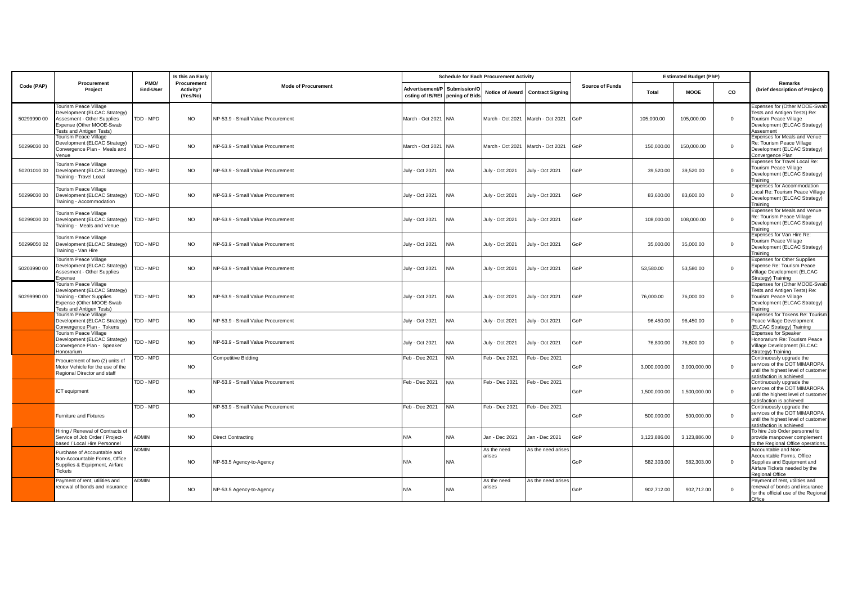|             |                                                                                                                                                    |                         | Is this an Early                     |                                   |                                                                 |     | <b>Schedule for Each Procurement Activity</b> |                                  |                        | <b>Estimated Budget (PhP)</b> |              |              | Remarks                                                                                                                                    |
|-------------|----------------------------------------------------------------------------------------------------------------------------------------------------|-------------------------|--------------------------------------|-----------------------------------|-----------------------------------------------------------------|-----|-----------------------------------------------|----------------------------------|------------------------|-------------------------------|--------------|--------------|--------------------------------------------------------------------------------------------------------------------------------------------|
| Code (PAP)  | Procurement<br>Project                                                                                                                             | PMO/<br><b>End-User</b> | Procurement<br>Activity?<br>(Yes/No) | <b>Mode of Procurement</b>        | Advertisement/P Submission/O<br>osting of IB/REI pening of Bids |     |                                               | Notice of Award Contract Signing | <b>Source of Funds</b> | Total                         | <b>MOOE</b>  | co           | (brief description of Project)                                                                                                             |
| 50299990 00 | <b>Tourism Peace Village</b><br>Development (ELCAC Strategy)<br>Assesment - Other Supplies<br>Expense (Other MOOE-Swab<br>Fests and Antigen Tests) | TDD - MPD               | <b>NO</b>                            | NP-53.9 - Small Value Procurement | March - Oct 2021 N/A                                            |     | March - Oct 2021 March - Oct 2021             |                                  | GoP                    | 105,000.00                    | 105,000.00   | $\circ$      | Expenses for (Other MOOE-Swab<br>Tests and Antigen Tests) Re:<br><b>Tourism Peace Village</b><br>Development (ELCAC Strategy)<br>Assesment |
| 50299030 00 | <b>Tourism Peace Village</b><br>Development (ELCAC Strategy)<br>Convergence Plan - Meals and<br>Venue                                              | DD - MPD                | <b>NO</b>                            | NP-53.9 - Small Value Procurement | March - Oct 2021 N/A                                            |     | March - Oct 2021                              | March - Oct 2021                 | GoP                    | 150,000,00                    | 150,000,00   | $\mathbf{0}$ | Expenses for Meals and Venue<br>Re: Tourism Peace Village<br>Development (ELCAC Strategy)<br>Convergence Plan                              |
| 5020101000  | <b>Tourism Peace Village</b><br>Development (ELCAC Strategy)<br>Training - Travel Local                                                            | TDD - MPD               | <b>NO</b>                            | NP-53.9 - Small Value Procurement | July - Oct 2021                                                 | N/A | July - Oct 2021                               | July - Oct 2021                  | GoP                    | 39,520.00                     | 39,520.00    | $\circ$      | Expenses for Travel Local Re:<br><b>Tourism Peace Village</b><br>Development (ELCAC Strategy)<br>Training                                  |
| 50299030 00 | <b>Tourism Peace Village</b><br>Development (ELCAC Strategy)<br>Training - Accommodation                                                           | TDD - MPD               | <b>NO</b>                            | NP-53.9 - Small Value Procurement | July - Oct 2021                                                 | N/A | July - Oct 2021                               | July - Oct 2021                  | GoP                    | 83,600.00                     | 83,600.00    | $\circ$      | <b>Expenses for Accommodation</b><br>Local Re: Tourism Peace Village<br>Development (ELCAC Strategy)<br>Training                           |
| 50299030 00 | Tourism Peace Village<br>Development (ELCAC Strategy)<br>Training - Meals and Venue                                                                | TDD - MPD               | <b>NO</b>                            | NP-53.9 - Small Value Procurement | July - Oct 2021                                                 | N/A | July - Oct 2021                               | July - Oct 2021                  | GoP                    | 108,000.00                    | 108,000.00   | $\Omega$     | Expenses for Meals and Venue<br>Re: Tourism Peace Village<br>Development (ELCAC Strategy)<br>Training                                      |
| 50299050 02 | <b>Tourism Peace Village</b><br>Development (ELCAC Strategy)<br>Training - Van Hire                                                                | TDD - MPD               | <b>NO</b>                            | VP-53.9 - Small Value Procurement | July - Oct 2021                                                 | N/A | July - Oct 2021                               | July - Oct 2021                  | GoP                    | 35,000.00                     | 35,000.00    | $^{\circ}$   | Expenses for Van Hire Re:<br>Tourism Peace Village<br>Development (ELCAC Strategy)<br>Training                                             |
| 50203990 00 | Tourism Peace Village<br>Development (ELCAC Strategy)<br>Assesment - Other Supplies<br>Expense                                                     | TDD - MPD               | <b>NO</b>                            | VP-53.9 - Small Value Procurement | July - Oct 2021                                                 | N/A | July - Oct 2021                               | July - Oct 2021                  | GoP                    | 53,580.00                     | 53,580.00    | $\mathbf{0}$ | <b>Expenses for Other Supplies</b><br>Expense Re: Tourism Peace<br>Village Development (ELCAC<br>Strategy) Training                        |
| 50299990 00 | Tourism Peace Village<br>Development (ELCAC Strategy)<br>Training - Other Supplies<br>Expense (Other MOOE-Swab<br>Tests and Antigen Tests)         | TDD - MPD               | <b>NO</b>                            | NP-53.9 - Small Value Procurement | July - Oct 2021                                                 | N/A | July - Oct 2021                               | July - Oct 2021                  | GoP                    | 76,000.00                     | 76,000.00    | $\mathbf{0}$ | Expenses for (Other MOOE-Swab<br>Tests and Antigen Tests) Re:<br><b>Tourism Peace Village</b><br>Development (ELCAC Strategy)<br>Training  |
|             | <b>Tourism Peace Village</b><br>Development (ELCAC Strategy)<br>Convergence Plan - Tokens                                                          | TDD - MPD               | <b>NO</b>                            | NP-53.9 - Small Value Procurement | July - Oct 2021                                                 | N/A | July - Oct 2021                               | July - Oct 2021                  | GoP                    | 96,450.00                     | 96,450.00    | $\mathbf{0}$ | Expenses for Tokens Re: Tourism<br>Peace Village Development<br>(ELCAC Strategy) Training                                                  |
|             | Tourism Peace Village<br>Development (ELCAC Strategy)<br>Convergence Plan - Speaker<br>Honorarium                                                  | TDD - MPD               | <b>NO</b>                            | VP-53.9 - Small Value Procurement | July - Oct 2021                                                 | N/A | July - Oct 2021                               | July - Oct 2021                  | GoP                    | 76,800.00                     | 76,800.00    | $\circ$      | <b>Expenses for Speaker</b><br>Honorarium Re: Tourism Peace<br>Village Development (ELCAC<br>Strategy) Training                            |
|             | Procurement of two (2) units of<br>Motor Vehicle for the use of the<br>Regional Director and staff                                                 | TDD - MPD               | <b>NO</b>                            | Competitive Bidding               | Feb - Dec 2021                                                  | N/A | Feb - Dec 2021                                | Feb - Dec 2021                   | GoP                    | 3,000,000.00                  | 3,000,000.00 | $\mathbf{0}$ | Continuously upgrade the<br>services of the DOT MIMAROPA<br>until the highest level of customer<br>satisfaction is achieved                |
|             | ICT equipment                                                                                                                                      | TDD - MPD               | <b>NO</b>                            | NP-53.9 - Small Value Procurement | Feb - Dec 2021                                                  | N/A | Feb - Dec 2021                                | Feb - Dec 2021                   | GoP                    | 1,500,000.00                  | 1,500,000.00 | $\circ$      | Continuously upgrade the<br>services of the DOT MIMAROPA<br>until the highest level of customer<br>satisfaction is achieved                |
|             | <b>Furniture and Fixtures</b>                                                                                                                      | TDD - MPD               | <b>NO</b>                            | NP-53.9 - Small Value Procurement | Feb - Dec 2021                                                  | N/A | Feb - Dec 2021                                | Feb - Dec 2021                   | GoP                    | 500,000.00                    | 500,000.00   | $\mathbf{0}$ | Continuously upgrade the<br>services of the DOT MIMAROPA<br>until the highest level of customer<br>satisfaction is achieved                |
|             | Hiring / Renewal of Contracts of<br>Service of Job Order / Project-<br>based / Local Hire Personnel                                                | ADMIN                   | <b>NO</b>                            | Direct Contracting                | N/A                                                             | N/A | Jan - Dec 2021                                | Jan - Dec 2021                   | GoP                    | 3,123,886.00                  | 3,123,886.00 | $\circ$      | To hire Job Order personnel to<br>provide manpower complement<br>to the Regional Office operations.                                        |
|             | Purchase of Accountable and<br>Non-Accountable Forms, Office<br>Supplies & Equipment, Airfare<br><b>Tickets</b>                                    | <b>ADMIN</b>            | <b>NO</b>                            | VP-53.5 Agency-to-Agency          | N/A                                                             | N/A | As the need<br>arises                         | As the need arises               | GoP                    | 582,303.00                    | 582,303.00   | $\Omega$     | Accountable and Non-<br>Accountable Forms, Office<br>Supplies and Equipment and<br>Airfare Tickets needed by the<br>Regional Office        |
|             | Payment of rent, utilities and<br>enewal of bonds and insurance                                                                                    | ADMIN                   | <b>NO</b>                            | NP-53.5 Agency-to-Agency          | N/A                                                             | N/A | As the need<br>arises                         | As the need arises               | GoP                    | 902,712.00                    | 902,712.00   | $\circ$      | Payment of rent, utilities and<br>renewal of bonds and insurance<br>for the official use of the Regional<br>Office                         |